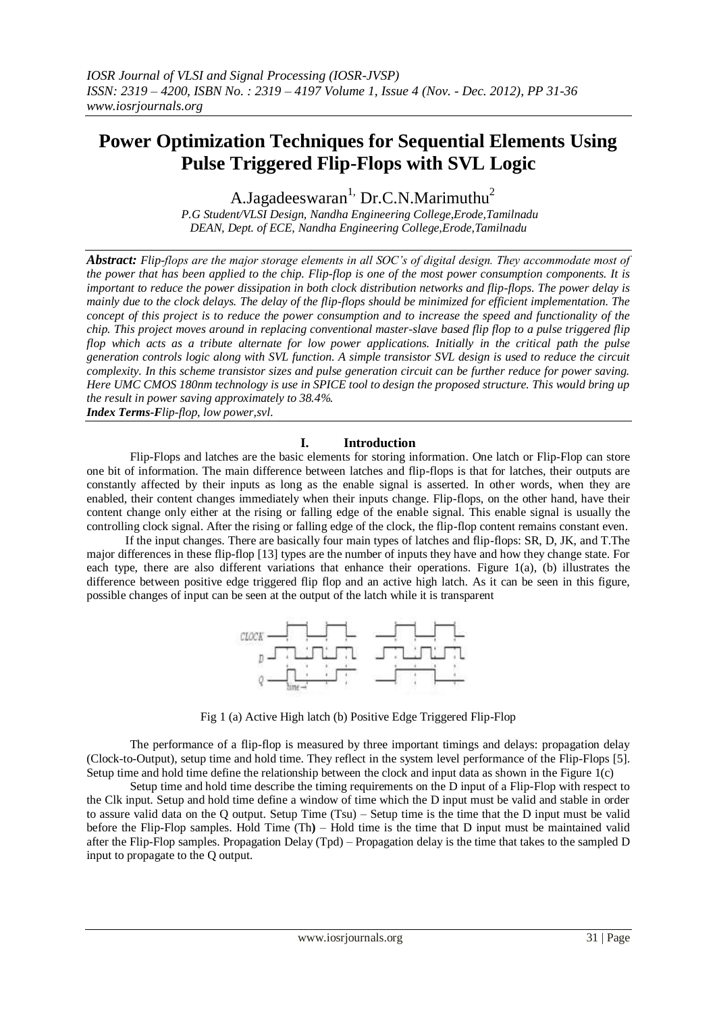# **Power Optimization Techniques for Sequential Elements Using Pulse Triggered Flip-Flops with SVL Logic**

A.Jagadeeswaran<sup>1,</sup> Dr.C.N.Marimuthu<sup>2</sup>

*P.G Student/VLSI Design, Nandha Engineering College,Erode,Tamilnadu DEAN, Dept. of ECE, Nandha Engineering College,Erode,Tamilnadu*

*Abstract: Flip-flops are the major storage elements in all SOC's of digital design. They accommodate most of the power that has been applied to the chip. Flip-flop is one of the most power consumption components. It is important to reduce the power dissipation in both clock distribution networks and flip-flops. The power delay is mainly due to the clock delays. The delay of the flip-flops should be minimized for efficient implementation. The concept of this project is to reduce the power consumption and to increase the speed and functionality of the chip. This project moves around in replacing conventional master-slave based flip flop to a pulse triggered flip flop which acts as a tribute alternate for low power applications. Initially in the critical path the pulse generation controls logic along with SVL function. A simple transistor SVL design is used to reduce the circuit complexity. In this scheme transistor sizes and pulse generation circuit can be further reduce for power saving. Here UMC CMOS 180nm technology is use in SPICE tool to design the proposed structure. This would bring up the result in power saving approximately to 38.4%.*

*Index Terms-Flip-flop, low power,svl.*

## **I. Introduction**

Flip-Flops and latches are the basic elements for storing information. One latch or Flip-Flop can store one bit of information. The main difference between latches and flip-flops is that for latches, their outputs are constantly affected by their inputs as long as the enable signal is asserted. In other words, when they are enabled, their content changes immediately when their inputs change. Flip-flops, on the other hand, have their content change only either at the rising or falling edge of the enable signal. This enable signal is usually the controlling clock signal. After the rising or falling edge of the clock, the flip-flop content remains constant even.

 If the input changes. There are basically four main types of latches and flip-flops: SR, D, JK, and T.The major differences in these flip-flop [13] types are the number of inputs they have and how they change state. For each type, there are also different variations that enhance their operations. Figure 1(a), (b) illustrates the difference between positive edge triggered flip flop and an active high latch. As it can be seen in this figure, possible changes of input can be seen at the output of the latch while it is transparent



Fig 1 (a) Active High latch (b) Positive Edge Triggered Flip-Flop

The performance of a flip-flop is measured by three important timings and delays: propagation delay (Clock-to-Output), setup time and hold time. They reflect in the system level performance of the Flip-Flops [5]. Setup time and hold time define the relationship between the clock and input data as shown in the Figure 1(c)

Setup time and hold time describe the timing requirements on the D input of a Flip-Flop with respect to the Clk input. Setup and hold time define a window of time which the D input must be valid and stable in order to assure valid data on the Q output. Setup Time (Tsu) – Setup time is the time that the D input must be valid before the Flip-Flop samples. Hold Time (Th**)** – Hold time is the time that D input must be maintained valid after the Flip-Flop samples. Propagation Delay (Tpd) – Propagation delay is the time that takes to the sampled D input to propagate to the Q output.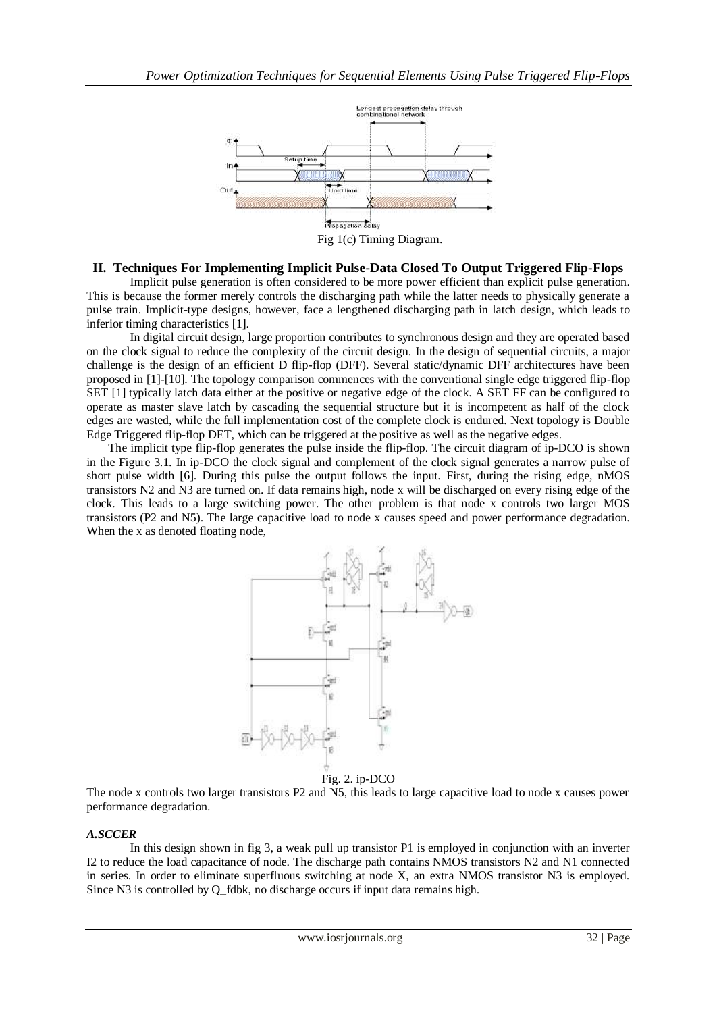

# **II. Techniques For Implementing Implicit Pulse-Data Closed To Output Triggered Flip-Flops**

Implicit pulse generation is often considered to be more power efficient than explicit pulse generation. This is because the former merely controls the discharging path while the latter needs to physically generate a pulse train. Implicit-type designs, however, face a lengthened discharging path in latch design, which leads to inferior timing characteristics [1].

In digital circuit design, large proportion contributes to synchronous design and they are operated based on the clock signal to reduce the complexity of the circuit design. In the design of sequential circuits, a major challenge is the design of an efficient D flip-flop (DFF). Several static/dynamic DFF architectures have been proposed in [1]-[10]. The topology comparison commences with the conventional single edge triggered flip-flop SET [1] typically latch data either at the positive or negative edge of the clock. A SET FF can be configured to operate as master slave latch by cascading the sequential structure but it is incompetent as half of the clock edges are wasted, while the full implementation cost of the complete clock is endured. Next topology is Double Edge Triggered flip-flop DET, which can be triggered at the positive as well as the negative edges.

The implicit type flip-flop generates the pulse inside the flip-flop. The circuit diagram of ip-DCO is shown in the Figure 3.1. In ip-DCO the clock signal and complement of the clock signal generates a narrow pulse of short pulse width [6]. During this pulse the output follows the input. First, during the rising edge, nMOS transistors N2 and N3 are turned on. If data remains high, node x will be discharged on every rising edge of the clock. This leads to a large switching power. The other problem is that node x controls two larger MOS transistors (P2 and N5). The large capacitive load to node x causes speed and power performance degradation. When the x as denoted floating node,



Fig. 2. ip-DCO

The node x controls two larger transistors P2 and N5, this leads to large capacitive load to node x causes power performance degradation.

## *A.SCCER*

In this design shown in fig 3, a weak pull up transistor P1 is employed in conjunction with an inverter I2 to reduce the load capacitance of node. The discharge path contains NMOS transistors N2 and N1 connected in series. In order to eliminate superfluous switching at node X, an extra NMOS transistor N3 is employed. Since N3 is controlled by Q\_fdbk, no discharge occurs if input data remains high.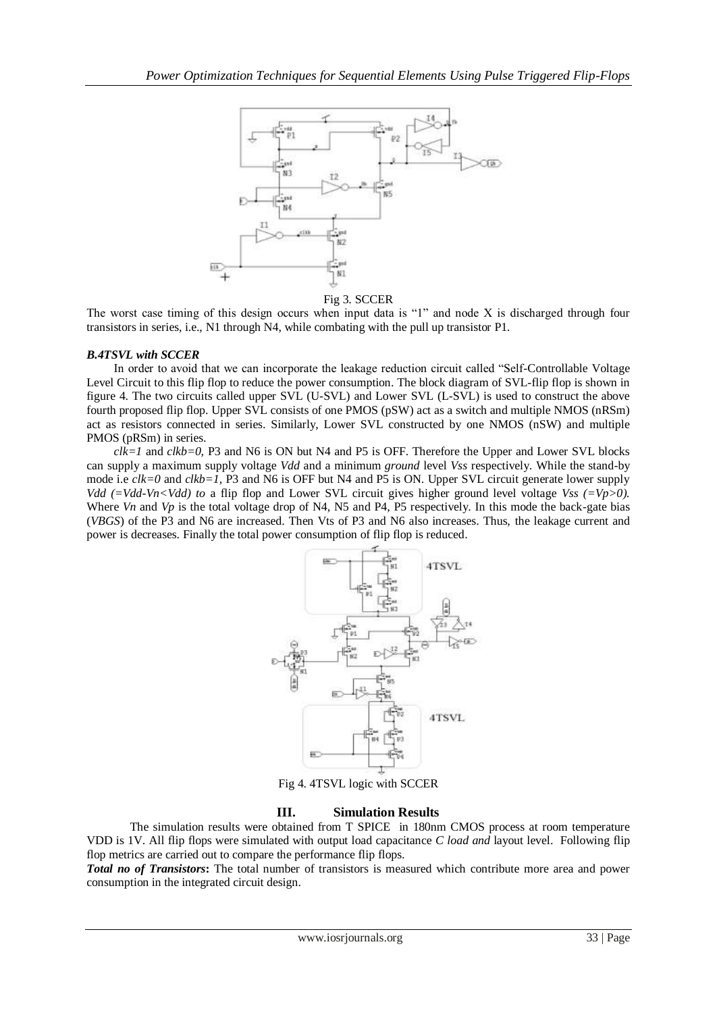

Fig 3. SCCER

The worst case timing of this design occurs when input data is "1" and node X is discharged through four transistors in series, i.e., N1 through N4, while combating with the pull up transistor P1.

## *B.4TSVL with SCCER*

In order to avoid that we can incorporate the leakage reduction circuit called "Self-Controllable Voltage Level Circuit to this flip flop to reduce the power consumption. The block diagram of SVL-flip flop is shown in figure 4. The two circuits called upper SVL (U-SVL) and Lower SVL (L-SVL) is used to construct the above fourth proposed flip flop. Upper SVL consists of one PMOS (pSW) act as a switch and multiple NMOS (nRSm) act as resistors connected in series. Similarly, Lower SVL constructed by one NMOS (nSW) and multiple PMOS (pRSm) in series.

*clk=1* and *clkb=0,* P3 and N6 is ON but N4 and P5 is OFF. Therefore the Upper and Lower SVL blocks can supply a maximum supply voltage *Vdd* and a minimum *ground* level *Vss* respectively. While the stand-by mode i.e *clk=0* and *clkb=1,* P3 and N6 is OFF but N4 and P5 is ON. Upper SVL circuit generate lower supply *Vdd (=Vdd-Vn<Vdd) to a flip flop and Lower SVL circuit gives higher ground level voltage <i>Vss (=Vp>0).* Where *Vn* and *Vp* is the total voltage drop of N4, N5 and P4, P5 respectively. In this mode the back-gate bias (*VBGS*) of the P3 and N6 are increased. Then Vts of P3 and N6 also increases. Thus, the leakage current and power is decreases. Finally the total power consumption of flip flop is reduced.



Fig 4. 4TSVL logic with SCCER

# **III. Simulation Results**

The simulation results were obtained from T SPICE in 180nm CMOS process at room temperature VDD is 1V. All flip flops were simulated with output load capacitance *C load and* layout level. Following flip flop metrics are carried out to compare the performance flip flops.

*Total no of Transistors***:** The total number of transistors is measured which contribute more area and power consumption in the integrated circuit design.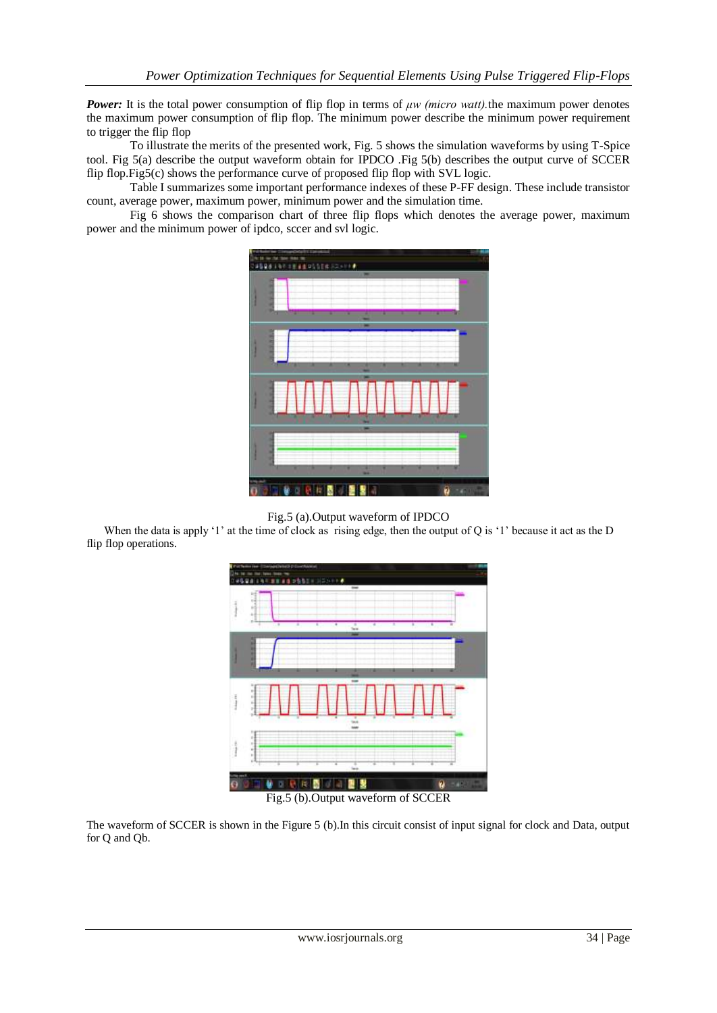*Power:* It is the total power consumption of flip flop in terms of *μw (micro watt)*, the maximum power denotes the maximum power consumption of flip flop. The minimum power describe the minimum power requirement to trigger the flip flop

To illustrate the merits of the presented work, Fig. 5 shows the simulation waveforms by using T-Spice tool. Fig 5(a) describe the output waveform obtain for IPDCO .Fig 5(b) describes the output curve of SCCER flip flop.Fig5(c) shows the performance curve of proposed flip flop with SVL logic.

Table I summarizes some important performance indexes of these P-FF design. These include transistor count, average power, maximum power, minimum power and the simulation time.

Fig 6 shows the comparison chart of three flip flops which denotes the average power, maximum power and the minimum power of ipdco, sccer and svl logic.



Fig.5 (a).Output waveform of IPDCO

When the data is apply '1' at the time of clock as rising edge, then the output of Q is '1' because it act as the D flip flop operations.



The waveform of SCCER is shown in the Figure 5 (b).In this circuit consist of input signal for clock and Data, output for Q and Qb.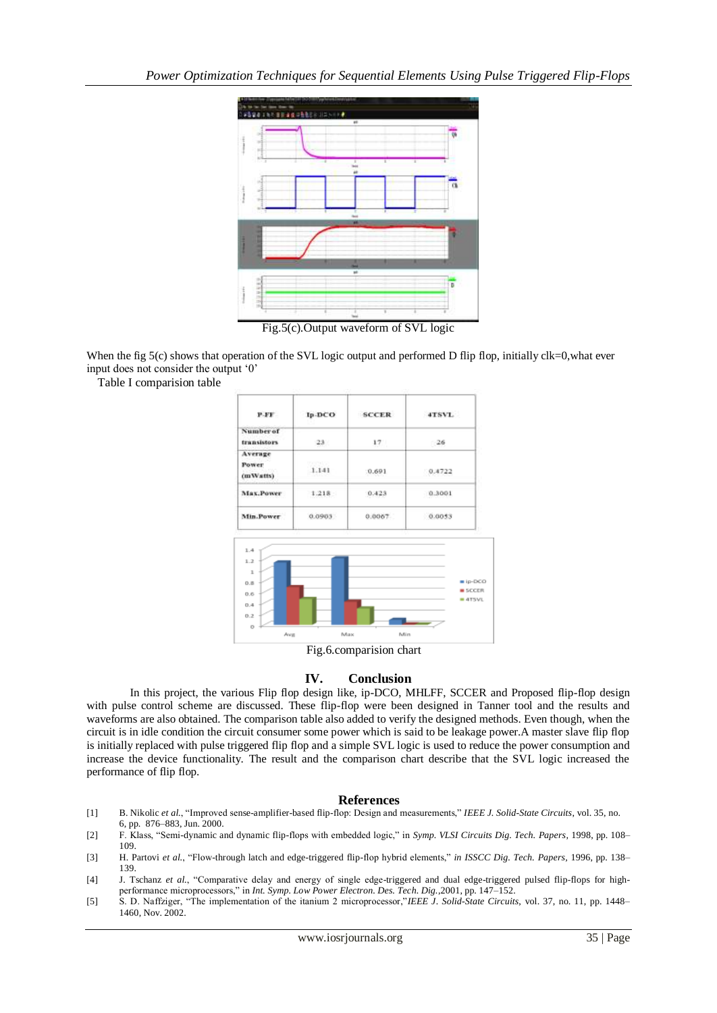

Fig.5(c).Output waveform of SVL logic

When the fig 5(c) shows that operation of the SVL logic output and performed D flip flop, initially clk=0,what ever input does not consider the output "0"

Table I comparision table



## **IV. Conclusion**

In this project, the various Flip flop design like, ip-DCO, MHLFF, SCCER and Proposed flip-flop design with pulse control scheme are discussed. These flip-flop were been designed in Tanner tool and the results and waveforms are also obtained. The comparison table also added to verify the designed methods. Even though, when the circuit is in idle condition the circuit consumer some power which is said to be leakage power.A master slave flip flop is initially replaced with pulse triggered flip flop and a simple SVL logic is used to reduce the power consumption and increase the device functionality. The result and the comparison chart describe that the SVL logic increased the performance of flip flop.

## **References**

- [1] B. Nikolic *et al.*, "Improved sense-amplifier-based flip-flop: Design and measurements," *IEEE J. Solid-State Circuits*, vol. 35, no. 6, pp. 876–883, Jun. 2000.
- [2] F. Klass, "Semi-dynamic and dynamic flip-flops with embedded logic," in *Symp. VLSI Circuits Dig. Tech. Papers,* 1998, pp. 108– 109.
- [3] H. Partovi *et al.*, "Flow-through latch and edge-triggered flip-flop hybrid elements," *in ISSCC Dig. Tech. Papers,* 1996, pp. 138– 139.
- [4] J. Tschanz et al., "Comparative delay and energy of single edge-triggered and dual edge-triggered pulsed flip-flops for highperformance microprocessors," in *Int. Symp. Low Power Electron. Des. Tech. Dig.*,2001, pp. 147–152.
- [5] S. D. Naffziger, "The implementation of the itanium 2 microprocessor,"*IEEE J. Solid-State Circuits*, vol. 37, no. 11, pp. 1448– 1460, Nov. 2002.